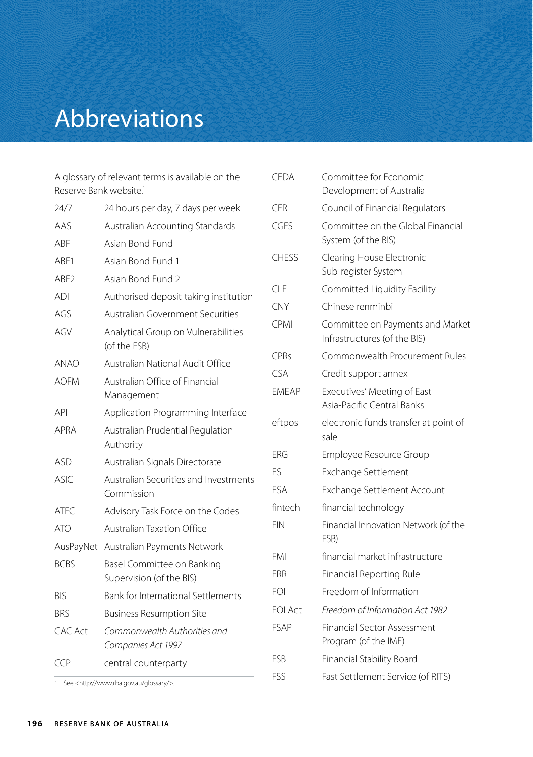## Abbreviations

A glossary of relevant terms is available on the Reserve Bank website.<sup>1</sup>

| 24/7        | 24 hours per day, 7 days per week                      |  |  |
|-------------|--------------------------------------------------------|--|--|
| AAS         | Australian Accounting Standards                        |  |  |
| ABF         | Asian Bond Fund                                        |  |  |
| ABF1        | Asian Bond Fund 1                                      |  |  |
| ABF2        | Asian Bond Fund 2                                      |  |  |
| <b>ADI</b>  | Authorised deposit-taking institution                  |  |  |
| AGS         | Australian Government Securities                       |  |  |
| AGV         | Analytical Group on Vulnerabilities<br>(of the FSB)    |  |  |
| <b>ANAO</b> | Australian National Audit Office                       |  |  |
| <b>AOFM</b> | Australian Office of Financial<br>Management           |  |  |
| API         | Application Programming Interface                      |  |  |
| APRA        | Australian Prudential Regulation<br>Authority          |  |  |
| ASD         | Australian Signals Directorate                         |  |  |
| <b>ASIC</b> | Australian Securities and Investments<br>Commission    |  |  |
| ATFC.       | Advisory Task Force on the Codes                       |  |  |
| <b>ATO</b>  | <b>Australian Taxation Office</b>                      |  |  |
| AusPayNet   | Australian Payments Network                            |  |  |
| <b>BCBS</b> | Basel Committee on Banking<br>Supervision (of the BIS) |  |  |
| <b>BIS</b>  | <b>Bank for International Settlements</b>              |  |  |
| <b>BRS</b>  | <b>Business Resumption Site</b>                        |  |  |
| CAC Act     | Commonwealth Authorities and<br>Companies Act 1997     |  |  |
| CCP         | central counterparty                                   |  |  |

| <b>CEDA</b>    | Committee for Economic<br>Development of Australia               |  |  |
|----------------|------------------------------------------------------------------|--|--|
| CFR            | Council of Financial Regulators                                  |  |  |
| CGES           | Committee on the Global Financial<br>System (of the BIS)         |  |  |
| <b>CHESS</b>   | Clearing House Electronic<br>Sub-register System                 |  |  |
| CLF            | Committed Liquidity Facility                                     |  |  |
| <b>CNY</b>     | Chinese renminbi                                                 |  |  |
| <b>CPMI</b>    | Committee on Payments and Market<br>Infrastructures (of the BIS) |  |  |
| <b>CPRs</b>    | Commonwealth Procurement Rules                                   |  |  |
| CSA            | Credit support annex                                             |  |  |
| <b>FMFAP</b>   | Executives' Meeting of East<br>Asia-Pacific Central Banks        |  |  |
| eftpos         | electronic funds transfer at point of<br>sale                    |  |  |
| <b>FRG</b>     | Employee Resource Group                                          |  |  |
| ES             | Exchange Settlement                                              |  |  |
| <b>FSA</b>     | Exchange Settlement Account                                      |  |  |
| fintech        | financial technology                                             |  |  |
| <b>FIN</b>     | Financial Innovation Network (of the<br>FSB)                     |  |  |
| FMI            | financial market infrastructure                                  |  |  |
| <b>FRR</b>     | Financial Reporting Rule                                         |  |  |
| <b>FOI</b>     | Freedom of Information                                           |  |  |
| <b>FOI Act</b> | Freedom of Information Act 1982                                  |  |  |
| <b>FSAP</b>    | <b>Financial Sector Assessment</b><br>Program (of the IMF)       |  |  |
| <b>FSB</b>     | Financial Stability Board                                        |  |  |
| FSS            | Fast Settlement Service (of RITS)                                |  |  |

1 See <http://www.rba.gov.au/glossary/>.